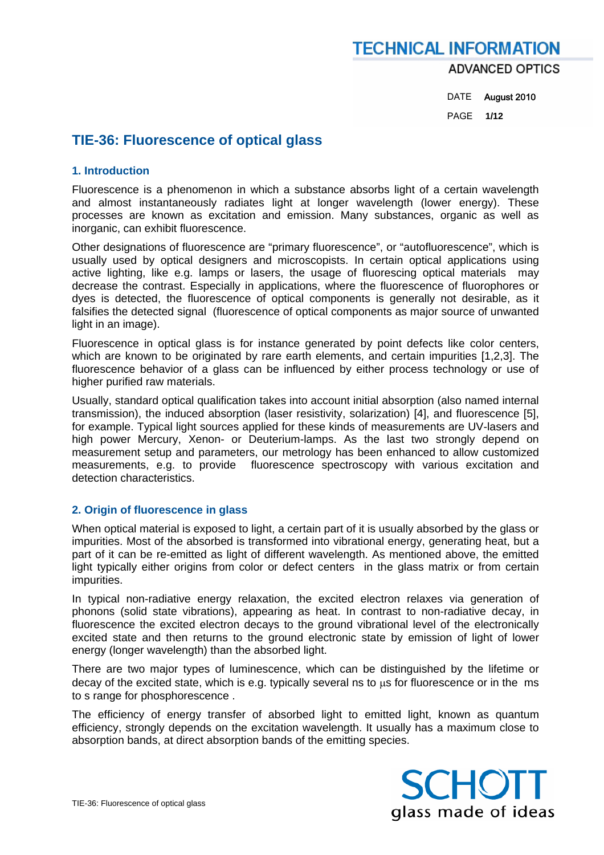### **TECHNICAL INFORMATION ADVANCED OPTICS**

 DATE August 2010 PAGE **1/12** 

#### **TIE-36: Fluorescence of optical glass**

#### **1. Introduction**

Fluorescence is a phenomenon in which a substance absorbs light of a certain wavelength and almost instantaneously radiates light at longer wavelength (lower energy). These processes are known as excitation and emission. Many substances, organic as well as inorganic, can exhibit fluorescence.

Other designations of fluorescence are "primary fluorescence", or "autofluorescence", which is usually used by optical designers and microscopists. In certain optical applications using active lighting, like e.g. lamps or lasers, the usage of fluorescing optical materials may decrease the contrast. Especially in applications, where the fluorescence of fluorophores or dyes is detected, the fluorescence of optical components is generally not desirable, as it falsifies the detected signal (fluorescence of optical components as major source of unwanted light in an image).

Fluorescence in optical glass is for instance generated by point defects like color centers, which are known to be originated by rare earth elements, and certain impurities [1,2,3]. The fluorescence behavior of a glass can be influenced by either process technology or use of higher purified raw materials.

Usually, standard optical qualification takes into account initial absorption (also named internal transmission), the induced absorption (laser resistivity, solarization) [4], and fluorescence [5], for example. Typical light sources applied for these kinds of measurements are UV-lasers and high power Mercury, Xenon- or Deuterium-lamps. As the last two strongly depend on measurement setup and parameters, our metrology has been enhanced to allow customized measurements, e.g. to provide fluorescence spectroscopy with various excitation and detection characteristics.

#### **2. Origin of fluorescence in glass**

When optical material is exposed to light, a certain part of it is usually absorbed by the glass or impurities. Most of the absorbed is transformed into vibrational energy, generating heat, but a part of it can be re-emitted as light of different wavelength. As mentioned above, the emitted light typically either origins from color or defect centers in the glass matrix or from certain impurities.

In typical non-radiative energy relaxation, the excited electron relaxes via generation of phonons (solid state vibrations), appearing as heat. In contrast to non-radiative decay, in fluorescence the excited electron decays to the ground vibrational level of the electronically excited state and then returns to the ground electronic state by emission of light of lower energy (longer wavelength) than the absorbed light.

There are two major types of luminescence, which can be distinguished by the lifetime or decay of the excited state, which is e.g. typically several ns to  $\mu$ s for fluorescence or in the ms to s range for phosphorescence .

The efficiency of energy transfer of absorbed light to emitted light, known as quantum efficiency, strongly depends on the excitation wavelength. It usually has a maximum close to absorption bands, at direct absorption bands of the emitting species.



TIE-36: Fluorescence of optical glass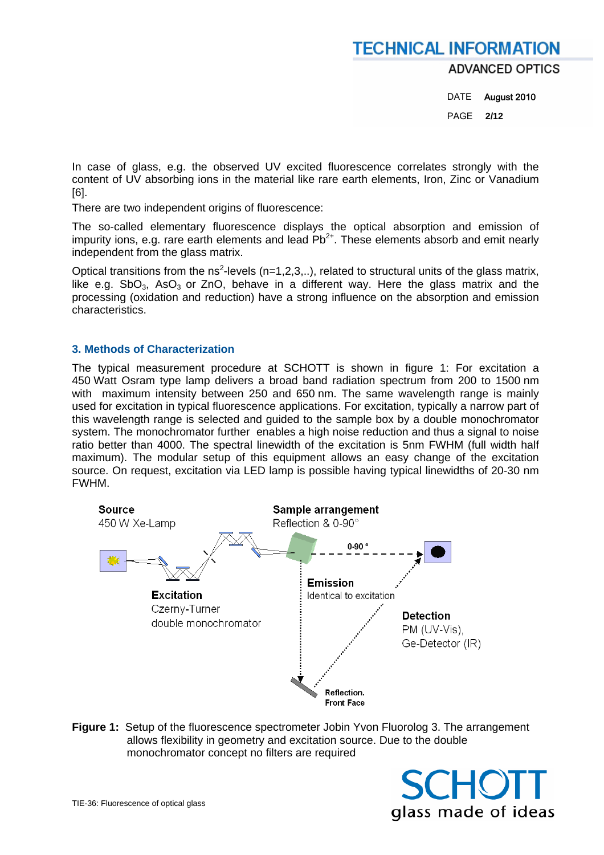**ADVANCED OPTICS** 

DATE August 2010 PAGE **2/12** 

In case of glass, e.g. the observed UV excited fluorescence correlates strongly with the content of UV absorbing ions in the material like rare earth elements, Iron, Zinc or Vanadium [6].

There are two independent origins of fluorescence:

The so-called elementary fluorescence displays the optical absorption and emission of impurity ions, e.g. rare earth elements and lead  $Pb^{2+}$ . These elements absorb and emit nearly independent from the glass matrix.

Optical transitions from the ns<sup>2</sup>-levels (n=1,2,3,..), related to structural units of the glass matrix, like e.g. SbO<sub>3</sub>, AsO<sub>3</sub> or ZnO, behave in a different way. Here the glass matrix and the processing (oxidation and reduction) have a strong influence on the absorption and emission characteristics.

#### **3. Methods of Characterization**

The typical measurement procedure at SCHOTT is shown in figure 1: For excitation a 450 Watt Osram type lamp delivers a broad band radiation spectrum from 200 to 1500 nm with maximum intensity between 250 and 650 nm. The same wavelength range is mainly used for excitation in typical fluorescence applications. For excitation, typically a narrow part of this wavelength range is selected and guided to the sample box by a double monochromator system. The monochromator further enables a high noise reduction and thus a signal to noise ratio better than 4000. The spectral linewidth of the excitation is 5nm FWHM (full width half maximum). The modular setup of this equipment allows an easy change of the excitation source. On request, excitation via LED lamp is possible having typical linewidths of 20-30 nm FWHM.



**Figure 1:** Setup of the fluorescence spectrometer Jobin Yvon Fluorolog 3. The arrangement allows flexibility in geometry and excitation source. Due to the double monochromator concept no filters are required

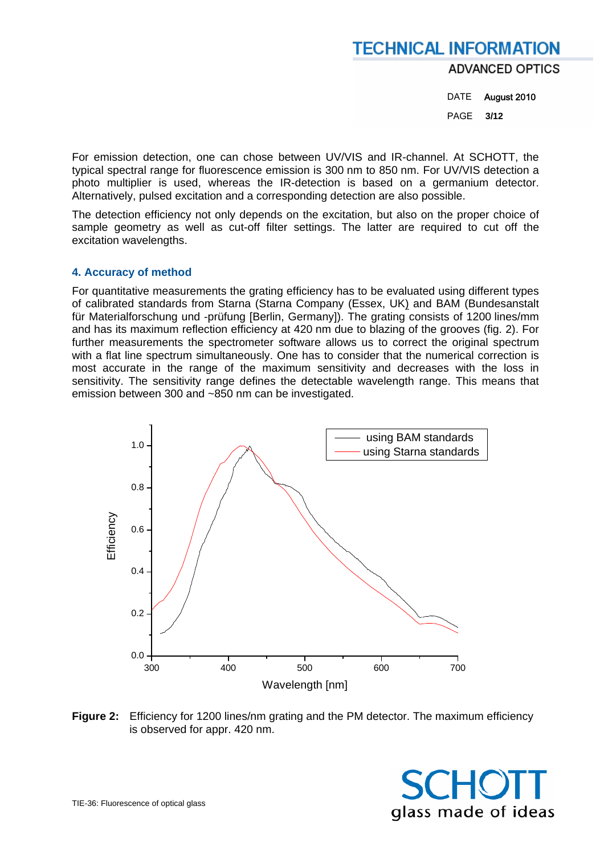**ADVANCED OPTICS** 

DATE August 2010 PAGE **3/12** 

For emission detection, one can chose between UV/VIS and IR-channel. At SCHOTT, the typical spectral range for fluorescence emission is 300 nm to 850 nm. For UV/VIS detection a photo multiplier is used, whereas the IR-detection is based on a germanium detector. Alternatively, pulsed excitation and a corresponding detection are also possible.

The detection efficiency not only depends on the excitation, but also on the proper choice of sample geometry as well as cut-off filter settings. The latter are required to cut off the excitation wavelengths.

#### **4. Accuracy of method**

For quantitative measurements the grating efficiency has to be evaluated using different types of calibrated standards from Starna (Starna Company (Essex, UK) and BAM (Bundesanstalt für Materialforschung und -prüfung [Berlin, Germany]). The grating consists of 1200 lines/mm and has its maximum reflection efficiency at 420 nm due to blazing of the grooves (fig. 2). For further measurements the spectrometer software allows us to correct the original spectrum with a flat line spectrum simultaneously. One has to consider that the numerical correction is most accurate in the range of the maximum sensitivity and decreases with the loss in sensitivity. The sensitivity range defines the detectable wavelength range. This means that emission between 300 and ~850 nm can be investigated.



**Figure 2:** Efficiency for 1200 lines/nm grating and the PM detector. The maximum efficiency is observed for appr. 420 nm.

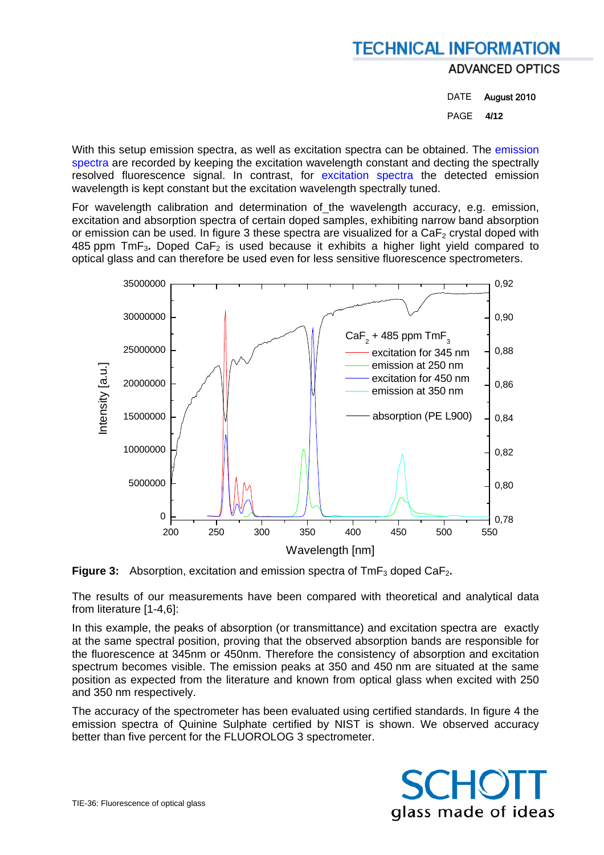**ADVANCED OPTICS** 

DATE August 2010 PAGE **4/12** 

With this setup emission spectra, as well as excitation spectra can be obtained. The emission spectra are recorded by keeping the excitation wavelength constant and decting the spectrally resolved fluorescence signal. In contrast, for excitation spectra the detected emission wavelength is kept constant but the excitation wavelength spectrally tuned.

For wavelength calibration and determination of the wavelength accuracy, e.g. emission, excitation and absorption spectra of certain doped samples, exhibiting narrow band absorption or emission can be used. In figure 3 these spectra are visualized for a  $CaF<sub>2</sub>$  crystal doped with 485 ppm TmF3**.** Doped CaF2 is used because it exhibits a higher light yield compared to optical glass and can therefore be used even for less sensitive fluorescence spectrometers.



**Figure 3:** Absorption, excitation and emission spectra of TmF<sub>3</sub> doped CaF<sub>2</sub>.

The results of our measurements have been compared with theoretical and analytical data from literature [1-4,6]:

In this example, the peaks of absorption (or transmittance) and excitation spectra are exactly at the same spectral position, proving that the observed absorption bands are responsible for the fluorescence at 345nm or 450nm. Therefore the consistency of absorption and excitation spectrum becomes visible. The emission peaks at 350 and 450 nm are situated at the same position as expected from the literature and known from optical glass when excited with 250 and 350 nm respectively.

The accuracy of the spectrometer has been evaluated using certified standards. In figure 4 the emission spectra of Quinine Sulphate certified by NIST is shown. We observed accuracy better than five percent for the FLUOROLOG 3 spectrometer.

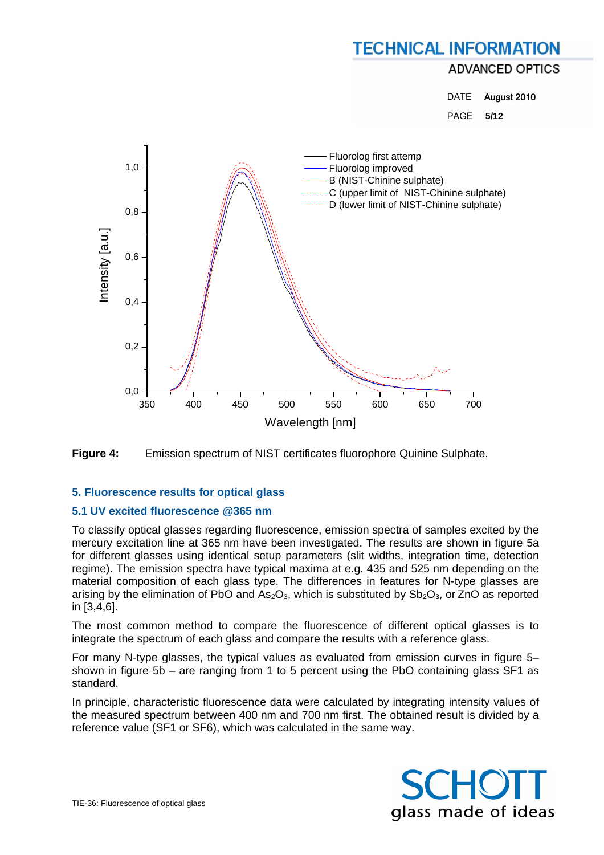**ADVANCED OPTICS** 

DATE August 2010

PAGE **5/12** 





#### **5. Fluorescence results for optical glass**

#### **5.1 UV excited fluorescence @365 nm**

To classify optical glasses regarding fluorescence, emission spectra of samples excited by the mercury excitation line at 365 nm have been investigated. The results are shown in figure 5a for different glasses using identical setup parameters (slit widths, integration time, detection regime). The emission spectra have typical maxima at e.g. 435 and 525 nm depending on the material composition of each glass type. The differences in features for N-type glasses are arising by the elimination of PbO and  $As_2O_3$ , which is substituted by  $Sb_2O_3$ , or ZnO as reported in [3,4,6].

The most common method to compare the fluorescence of different optical glasses is to integrate the spectrum of each glass and compare the results with a reference glass.

For many N-type glasses, the typical values as evaluated from emission curves in figure 5– shown in figure 5b – are ranging from 1 to 5 percent using the PbO containing glass SF1 as standard.

In principle, characteristic fluorescence data were calculated by integrating intensity values of the measured spectrum between 400 nm and 700 nm first. The obtained result is divided by a reference value (SF1 or SF6), which was calculated in the same way.

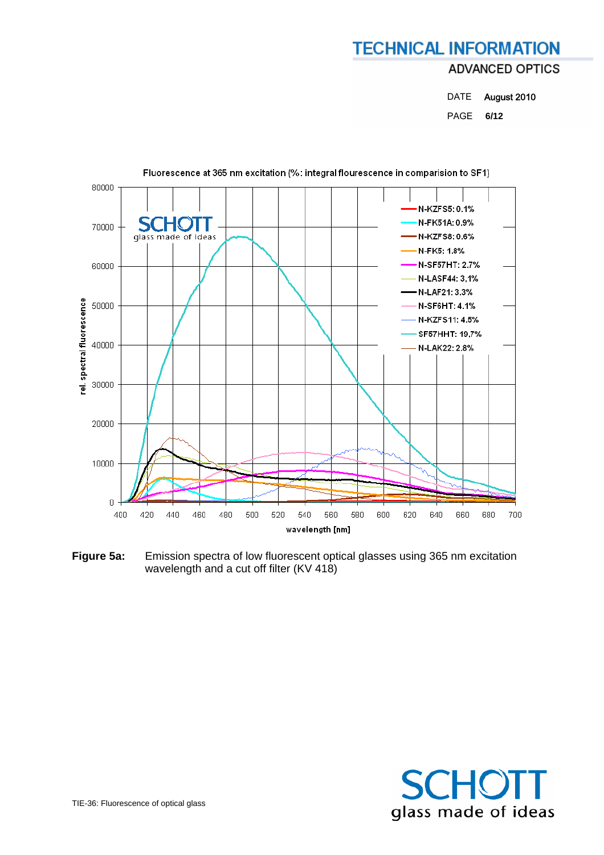### **TECHNICAL INFORMATION ADVANCED OPTICS**

DATE August 2010 PAGE **6/12** 



**Figure 5a:** Emission spectra of low fluorescent optical glasses using 365 nm excitation wavelength and a cut off filter (KV 418)

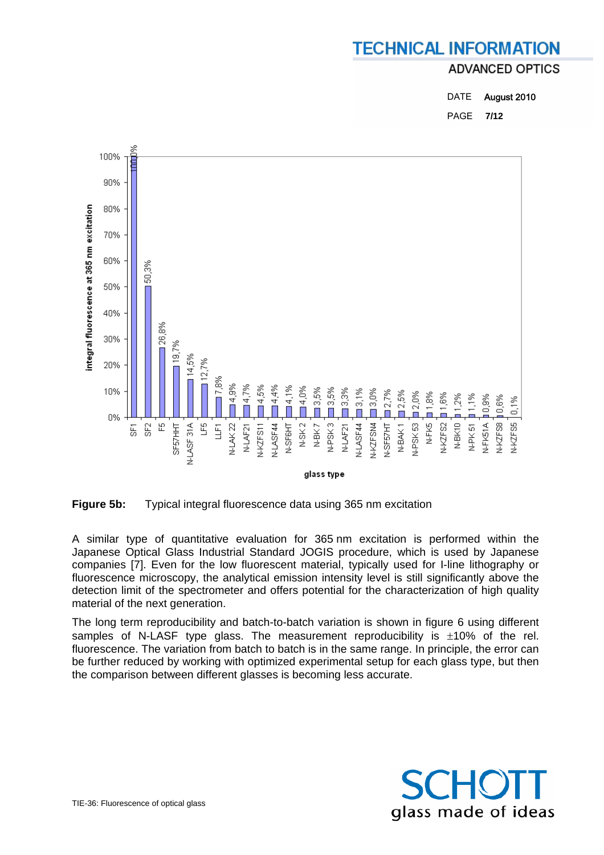#### **ADVANCED OPTICS**

| <b>DATE</b> | August 2010 |
|-------------|-------------|
| PAGE        | 7/12        |





A similar type of quantitative evaluation for 365 nm excitation is performed within the Japanese Optical Glass Industrial Standard JOGIS procedure, which is used by Japanese companies [7]. Even for the low fluorescent material, typically used for I-line lithography or fluorescence microscopy, the analytical emission intensity level is still significantly above the detection limit of the spectrometer and offers potential for the characterization of high quality material of the next generation.

The long term reproducibility and batch-to-batch variation is shown in figure 6 using different samples of N-LASF type glass. The measurement reproducibility is  $\pm 10\%$  of the rel. fluorescence. The variation from batch to batch is in the same range. In principle, the error can be further reduced by working with optimized experimental setup for each glass type, but then the comparison between different glasses is becoming less accurate.

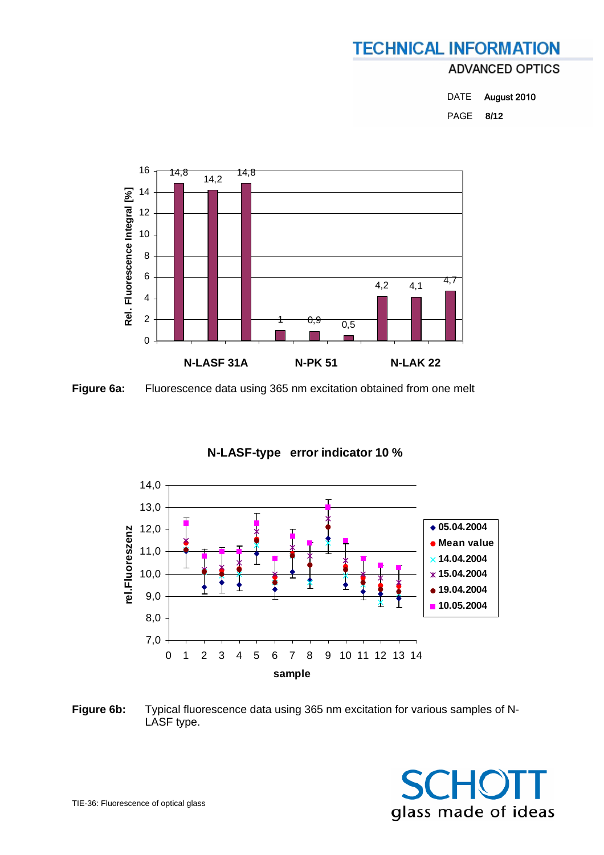### **ADVANCED OPTICS**

DATE August 2010 PAGE **8/12** 



**Figure 6a:** Fluorescence data using 365 nm excitation obtained from one melt

#### **N-LASF-type error indicator 10 %**



**Figure 6b:** Typical fluorescence data using 365 nm excitation for various samples of N-LASF type.

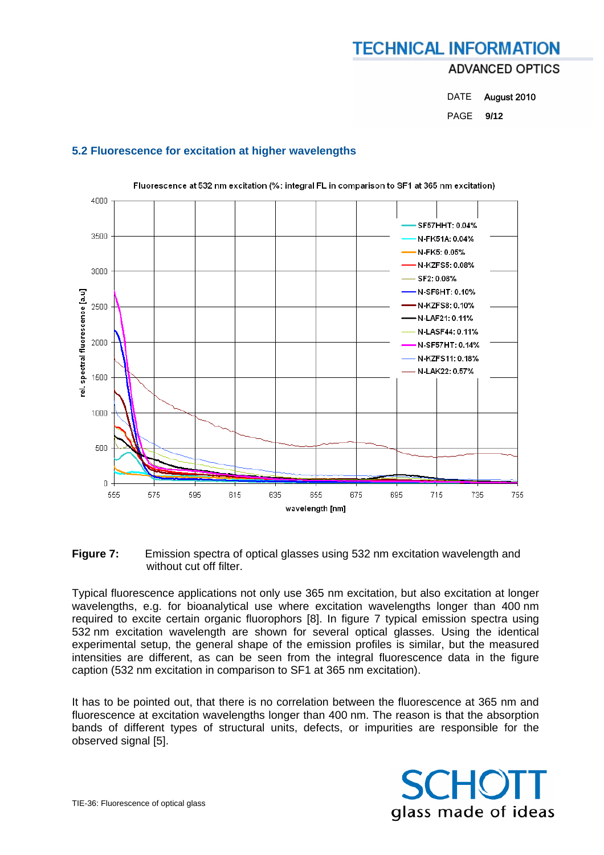### **TECHNICAL INFORMATION ADVANCED OPTICS**

DATE August 2010 PAGE **9/12** 

#### **5.2 Fluorescence for excitation at higher wavelengths**



Fluorescence at 532 nm excitation (%: integral FL in comparison to SF1 at 365 nm excitation)

**Figure 7:** Emission spectra of optical glasses using 532 nm excitation wavelength and without cut off filter.

Typical fluorescence applications not only use 365 nm excitation, but also excitation at longer wavelengths, e.g. for bioanalytical use where excitation wavelengths longer than 400 nm required to excite certain organic fluorophors [8]. In figure 7 typical emission spectra using 532 nm excitation wavelength are shown for several optical glasses. Using the identical experimental setup, the general shape of the emission profiles is similar, but the measured intensities are different, as can be seen from the integral fluorescence data in the figure caption (532 nm excitation in comparison to SF1 at 365 nm excitation).

It has to be pointed out, that there is no correlation between the fluorescence at 365 nm and fluorescence at excitation wavelengths longer than 400 nm. The reason is that the absorption bands of different types of structural units, defects, or impurities are responsible for the observed signal [5].

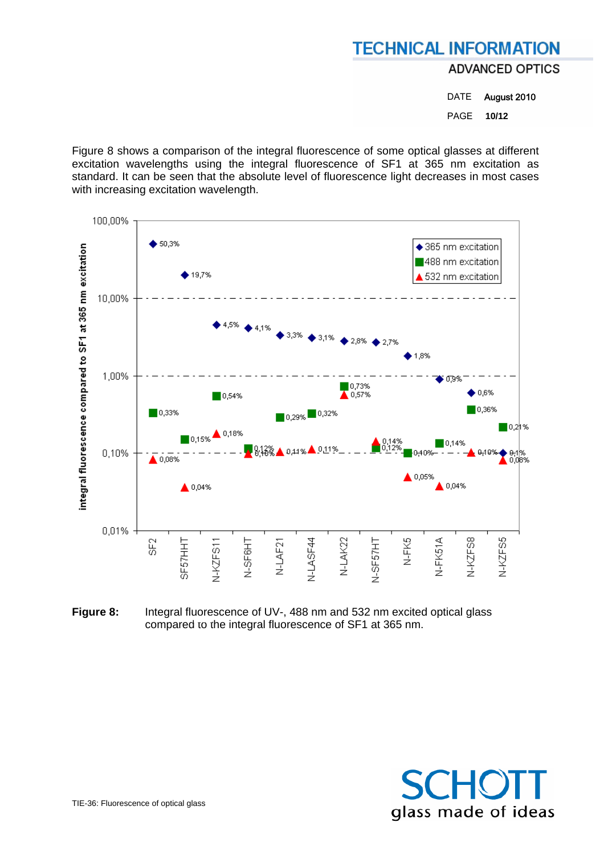**ADVANCED OPTICS** 

DATE August 2010 PAGE **10/12** 

Figure 8 shows a comparison of the integral fluorescence of some optical glasses at different excitation wavelengths using the integral fluorescence of SF1 at 365 nm excitation as standard. It can be seen that the absolute level of fluorescence light decreases in most cases with increasing excitation wavelength.



**Figure 8:** Integral fluorescence of UV-, 488 nm and 532 nm excited optical glass compared to the integral fluorescence of SF1 at 365 nm.

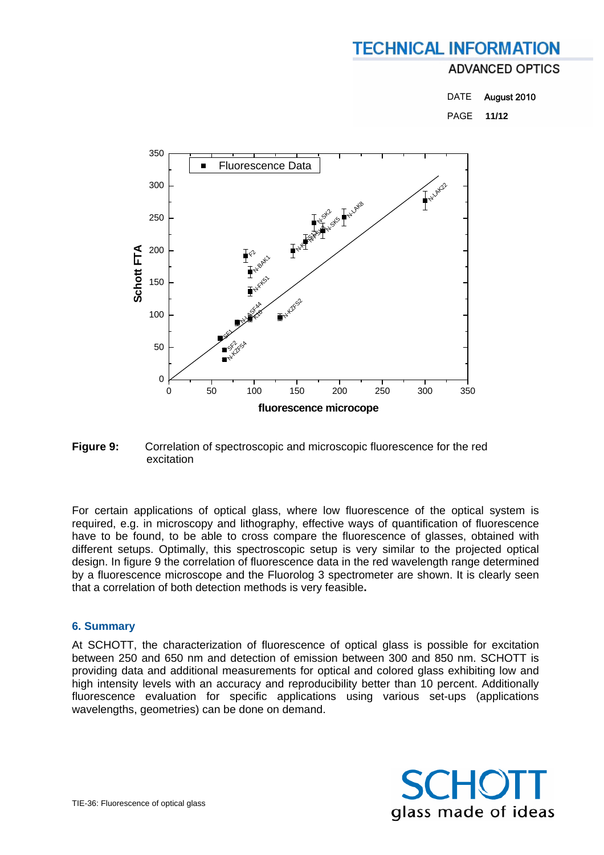#### **ADVANCED OPTICS**

DATE August 2010 PAGE **11/12** 



#### **Figure 9:** Correlation of spectroscopic and microscopic fluorescence for the red excitation

For certain applications of optical glass, where low fluorescence of the optical system is required, e.g. in microscopy and lithography, effective ways of quantification of fluorescence have to be found, to be able to cross compare the fluorescence of glasses, obtained with different setups. Optimally, this spectroscopic setup is very similar to the projected optical design. In figure 9 the correlation of fluorescence data in the red wavelength range determined by a fluorescence microscope and the Fluorolog 3 spectrometer are shown. It is clearly seen that a correlation of both detection methods is very feasible**.** 

#### **6. Summary**

At SCHOTT, the characterization of fluorescence of optical glass is possible for excitation between 250 and 650 nm and detection of emission between 300 and 850 nm. SCHOTT is providing data and additional measurements for optical and colored glass exhibiting low and high intensity levels with an accuracy and reproducibility better than 10 percent. Additionally fluorescence evaluation for specific applications using various set-ups (applications wavelengths, geometries) can be done on demand.